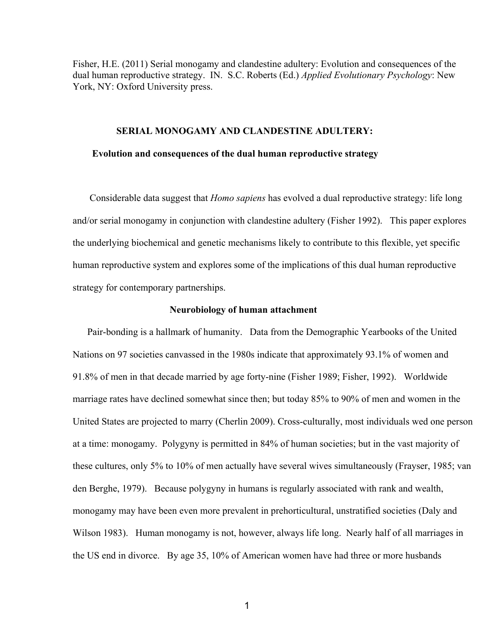Fisher, H.E. (2011) Serial monogamy and clandestine adultery: Evolution and consequences of the dual human reproductive strategy. IN. S.C. Roberts (Ed.) *Applied Evolutionary Psychology*: New York, NY: Oxford University press.

### **SERIAL MONOGAMY AND CLANDESTINE ADULTERY:**

#### **Evolution and consequences of the dual human reproductive strategy**

 Considerable data suggest that *Homo sapiens* has evolved a dual reproductive strategy: life long and/or serial monogamy in conjunction with clandestine adultery (Fisher 1992). This paper explores the underlying biochemical and genetic mechanisms likely to contribute to this flexible, yet specific human reproductive system and explores some of the implications of this dual human reproductive strategy for contemporary partnerships.

### **Neurobiology of human attachment**

Pair-bonding is a hallmark of humanity. Data from the Demographic Yearbooks of the United Nations on 97 societies canvassed in the 1980s indicate that approximately 93.1% of women and 91.8% of men in that decade married by age forty-nine (Fisher 1989; Fisher, 1992). Worldwide marriage rates have declined somewhat since then; but today 85% to 90% of men and women in the United States are projected to marry (Cherlin 2009). Cross-culturally, most individuals wed one person at a time: monogamy. Polygyny is permitted in 84% of human societies; but in the vast majority of these cultures, only 5% to 10% of men actually have several wives simultaneously (Frayser, 1985; van den Berghe, 1979). Because polygyny in humans is regularly associated with rank and wealth, monogamy may have been even more prevalent in prehorticultural, unstratified societies (Daly and Wilson 1983). Human monogamy is not, however, always life long. Nearly half of all marriages in the US end in divorce. By age 35, 10% of American women have had three or more husbands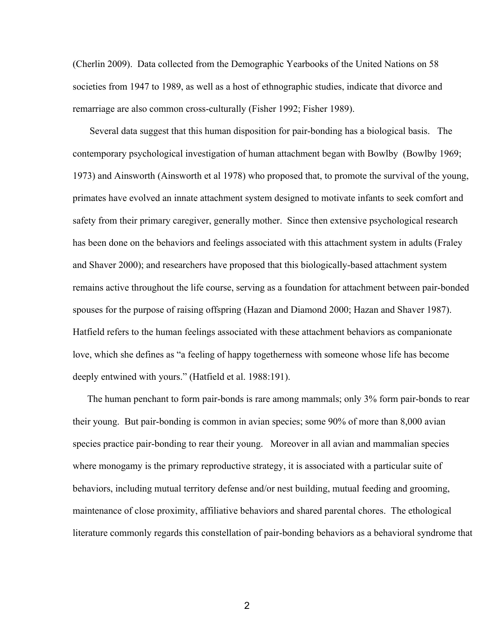(Cherlin 2009). Data collected from the Demographic Yearbooks of the United Nations on 58 societies from 1947 to 1989, as well as a host of ethnographic studies, indicate that divorce and remarriage are also common cross-culturally (Fisher 1992; Fisher 1989).

Several data suggest that this human disposition for pair-bonding has a biological basis. The contemporary psychological investigation of human attachment began with Bowlby (Bowlby 1969; 1973) and Ainsworth (Ainsworth et al 1978) who proposed that, to promote the survival of the young, primates have evolved an innate attachment system designed to motivate infants to seek comfort and safety from their primary caregiver, generally mother. Since then extensive psychological research has been done on the behaviors and feelings associated with this attachment system in adults (Fraley and Shaver 2000); and researchers have proposed that this biologically-based attachment system remains active throughout the life course, serving as a foundation for attachment between pair-bonded spouses for the purpose of raising offspring (Hazan and Diamond 2000; Hazan and Shaver 1987). Hatfield refers to the human feelings associated with these attachment behaviors as companionate love, which she defines as "a feeling of happy togetherness with someone whose life has become deeply entwined with yours." (Hatfield et al. 1988:191).

The human penchant to form pair-bonds is rare among mammals; only 3% form pair-bonds to rear their young. But pair-bonding is common in avian species; some  $90\%$  of more than 8,000 avian species practice pair-bonding to rear their young. Moreover in all avian and mammalian species where monogamy is the primary reproductive strategy, it is associated with a particular suite of behaviors, including mutual territory defense and/or nest building, mutual feeding and grooming, maintenance of close proximity, affiliative behaviors and shared parental chores. The ethological literature commonly regards this constellation of pair-bonding behaviors as a behavioral syndrome that

2 and 2 and 2 and 2 and 2 and 2 and 2 and 2 and 2 and 2 and 2 and 2 and 2 and 2 and 2 and 2 and 2 and 2 and 2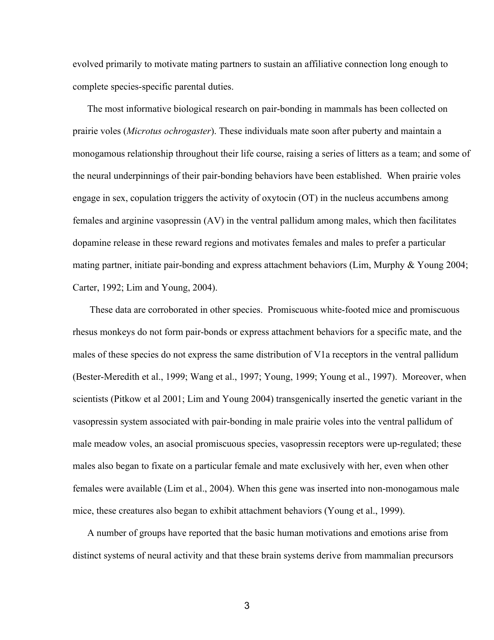evolved primarily to motivate mating partners to sustain an affiliative connection long enough to complete species-specific parental duties.

The most informative biological research on pair-bonding in mammals has been collected on prairie voles (*Microtus ochrogaster*). These individuals mate soon after puberty and maintain a monogamous relationship throughout their life course, raising a series of litters as a team; and some of the neural underpinnings of their pair-bonding behaviors have been established. When prairie voles engage in sex, copulation triggers the activity of oxytocin (OT) in the nucleus accumbens among females and arginine vasopressin (AV) in the ventral pallidum among males, which then facilitates dopamine release in these reward regions and motivates females and males to prefer a particular mating partner, initiate pair-bonding and express attachment behaviors (Lim, Murphy  $&$  Young 2004; Carter, 1992; Lim and Young, 2004).

These data are corroborated in other species. Promiscuous white-footed mice and promiscuous rhesus monkeys do not form pair-bonds or express attachment behaviors for a specific mate, and the males of these species do not express the same distribution of V1a receptors in the ventral pallidum (Bester-Meredith et al., 1999; Wang et al., 1997; Young, 1999; Young et al., 1997). Moreover, when scientists (Pitkow et al 2001; Lim and Young 2004) transgenically inserted the genetic variant in the vasopressin system associated with pair-bonding in male prairie voles into the ventral pallidum of male meadow voles, an asocial promiscuous species, vasopressin receptors were up-regulated; these males also began to fixate on a particular female and mate exclusively with her, even when other females were available (Lim et al., 2004). When this gene was inserted into non-monogamous male mice, these creatures also began to exhibit attachment behaviors (Young et al., 1999).

 A number of groups have reported that the basic human motivations and emotions arise from distinct systems of neural activity and that these brain systems derive from mammalian precursors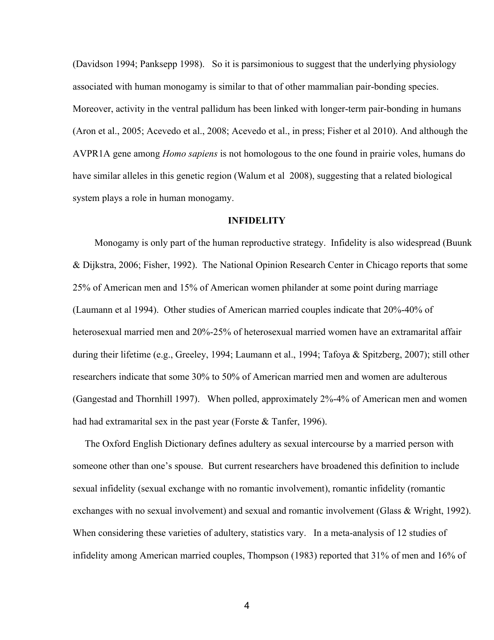(Davidson 1994; Panksepp 1998). So it is parsimonious to suggest that the underlying physiology associated with human monogamy is similar to that of other mammalian pair-bonding species. Moreover, activity in the ventral pallidum has been linked with longer-term pair-bonding in humans (Aron et al., 2005; Acevedo et al., 2008; Acevedo et al., in press; Fisher et al 2010). And although the AVPR1A gene among *Homo sapiens* is not homologous to the one found in prairie voles, humans do have similar alleles in this genetic region (Walum et al 2008), suggesting that a related biological system plays a role in human monogamy.

## **INFIDELITY**

 Monogamy is only part of the human reproductive strategy. Infidelity is also widespread (Buunk & Dijkstra, 2006; Fisher, 1992). The National Opinion Research Center in Chicago reports that some 25% of American men and 15% of American women philander at some point during marriage (Laumann et al 1994). Other studies of American married couples indicate that  $20\% - 40\%$  of heterosexual married men and 20%-25% of heterosexual married women have an extramarital affair during their lifetime (e.g., Greeley, 1994; Laumann et al., 1994; Tafoya & Spitzberg, 2007); still other researchers indicate that some 30% to 50% of American married men and women are adulterous (Gangestad and Thornhill 1997). When polled, approximately 2%-4% of American men and women had had extramarital sex in the past year (Forste & Tanfer, 1996).

 The Oxford English Dictionary defines adultery as sexual intercourse by a married person with someone other than one's spouse. But current researchers have broadened this definition to include sexual infidelity (sexual exchange with no romantic involvement), romantic infidelity (romantic exchanges with no sexual involvement) and sexual and romantic involvement (Glass & Wright, 1992). When considering these varieties of adultery, statistics vary. In a meta-analysis of 12 studies of infidelity among American married couples, Thompson (1983) reported that 31% of men and 16% of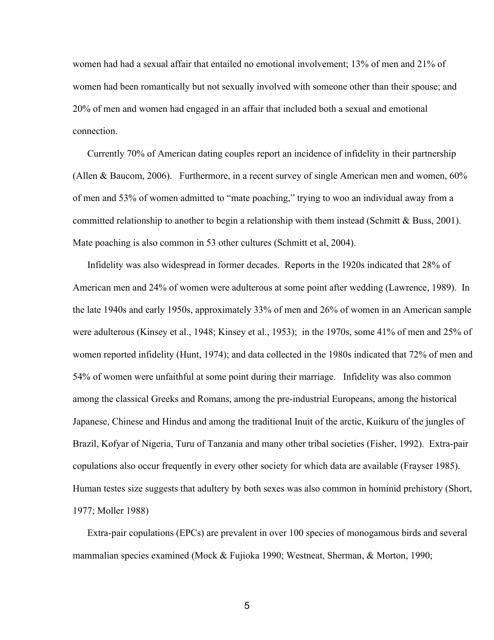women had had a sexual affair that entailed no emotional involvement; 13% of men and 21% of women had been romantically but not sexually involved with someone other than their spouse; and 20% of men and women had engaged in an affair that included both a sexual and emotional connection.

 Currently 70% of American dating couples report an incidence of infidelity in their partnership (Allen & Baucom, 2006). Furthermore, in a recent survey of single American men and women, 60% of men and 53% of women admitted to "mate poaching," trying to woo an individual away from a committed relationship to another to begin a relationship with them instead (Schmitt & Buss, 2001). Mate poaching is also common in 53 other cultures (Schmitt et al, 2004).

 Infidelity was also widespread in former decades. Reports in the 1920s indicated that 28% of American men and 24% of women were adulterous at some point after wedding (Lawrence, 1989). In the late 1940s and early 1950s, approximately 33% of men and 26% of women in an American sample were adulterous (Kinsey et al., 1948; Kinsey et al., 1953); in the 1970s, some 41% of men and 25% of women reported infidelity (Hunt, 1974); and data collected in the 1980s indicated that 72% of men and 54% of women were unfaithful at some point during their marriage. Infidelity was also common among the classical Greeks and Romans, among the pre-industrial Europeans, among the historical Japanese, Chinese and Hindus and among the traditional Inuit of the arctic, Kuikuru of the jungles of Brazil, Kofyar of Nigeria, Turu of Tanzania and many other tribal societies (Fisher, 1992). Extra-pair copulations also occur frequently in every other society for which data are available (Frayser 1985). Human testes size suggests that adultery by both sexes was also common in hominid prehistory (Short, 1977; Moller 1988)

Extra-pair copulations (EPCs) are prevalent in over 100 species of monogamous birds and several mammalian species examined (Mock & Fujioka 1990; Westneat, Sherman, & Morton, 1990;

 $5<sub>5</sub>$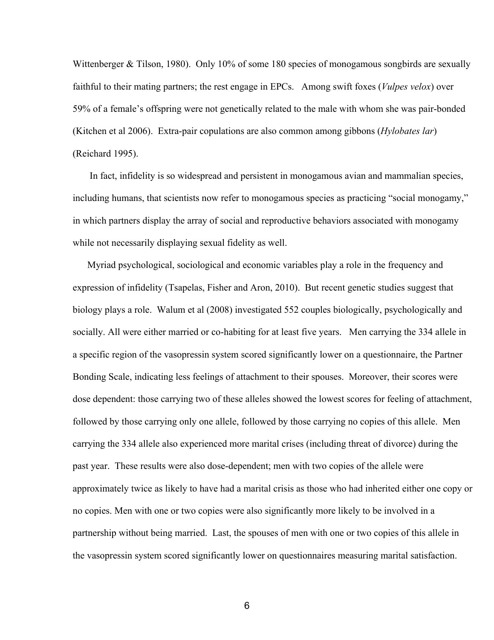Wittenberger & Tilson, 1980). Only 10% of some 180 species of monogamous songbirds are sexually faithful to their mating partners; the rest engage in EPCs. Among swift foxes (*Vulpes velox*) over 59% of a female's offspring were not genetically related to the male with whom she was pairbonded (Kitchen et al 2006). Extra-pair copulations are also common among gibbons (*Hylobates lar*) (Reichard 1995).

In fact, infidelity is so widespread and persistent in monogamous avian and mammalian species, including humans, that scientists now refer to monogamous species as practicing "social monogamy," in which partners display the array of social and reproductive behaviors associated with monogamy while not necessarily displaying sexual fidelity as well.

 Myriad psychological, sociological and economic variables play a role in the frequency and expression of infidelity (Tsapelas, Fisher and Aron, 2010). But recent genetic studies suggest that biology plays a role. Walum et al (2008) investigated 552 couples biologically, psychologically and socially. All were either married or co-habiting for at least five years. Men carrying the 334 allele in a specific region of the vasopressin system scored significantly lower on a questionnaire, the Partner Bonding Scale, indicating less feelings of attachment to their spouses. Moreover, their scores were dose dependent: those carrying two of these alleles showed the lowest scores for feeling of attachment, followed by those carrying only one allele, followed by those carrying no copies of this allele. Men carrying the 334 allele also experienced more marital crises (including threat of divorce) during the past year. These results were also dosedependent; men with two copies of the allele were approximately twice as likely to have had a marital crisis as those who had inherited either one copy or no copies. Men with one or two copies were also significantly more likely to be involved in a partnership without being married. Last, the spouses of men with one or two copies of this allele in the vasopressin system scored significantly lower on questionnaires measuring marital satisfaction.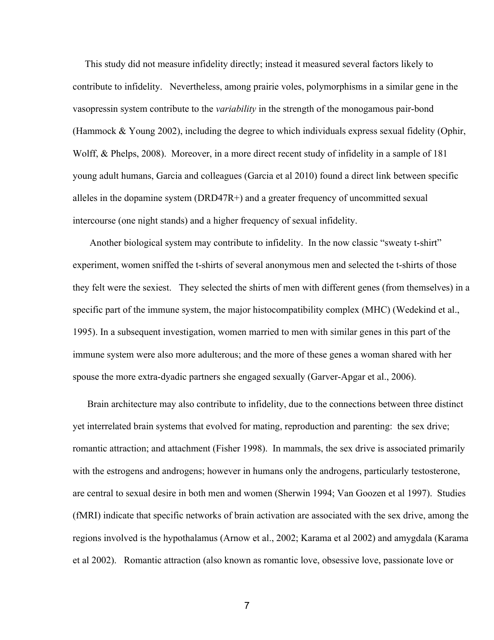This study did not measure infidelity directly; instead it measured several factors likely to contribute to infidelity. Nevertheless, among prairie voles, polymorphisms in a similar gene in the vasopressin system contribute to the *variability* in the strength of the monogamous pairbond (Hammock & Young 2002), including the degree to which individuals express sexual fidelity (Ophir, Wolff, & Phelps, 2008). Moreover, in a more direct recent study of infidelity in a sample of 181 young adult humans, Garcia and colleagues (Garcia et al 2010) found a direct link between specific alleles in the dopamine system (DRD47R+) and a greater frequency of uncommitted sexual intercourse (one night stands) and a higher frequency of sexual infidelity.

Another biological system may contribute to infidelity. In the now classic "sweaty t-shirt" experiment, women sniffed the t-shirts of several anonymous men and selected the t-shirts of those they felt were the sexiest. They selected the shirts of men with different genes (from themselves) in a specific part of the immune system, the major histocompatibility complex (MHC) (Wedekind et al., 1995). In a subsequent investigation, women married to men with similar genes in this part of the immune system were also more adulterous; and the more of these genes a woman shared with her spouse the more extra-dyadic partners she engaged sexually (Garver-Apgar et al., 2006).

 Brain architecture may also contribute to infidelity, due to the connections between three distinct yet interrelated brain systems that evolved for mating, reproduction and parenting: the sex drive; romantic attraction; and attachment (Fisher 1998). In mammals, the sex drive is associated primarily with the estrogens and androgens; however in humans only the androgens, particularly testosterone, are central to sexual desire in both men and women (Sherwin 1994; Van Goozen et al 1997). Studies (fMRI) indicate that specific networks of brain activation are associated with the sex drive, among the regions involved is the hypothalamus (Arnow et al., 2002; Karama et al 2002) and amygdala (Karama et al 2002). Romantic attraction (also known as romantic love, obsessive love, passionate love or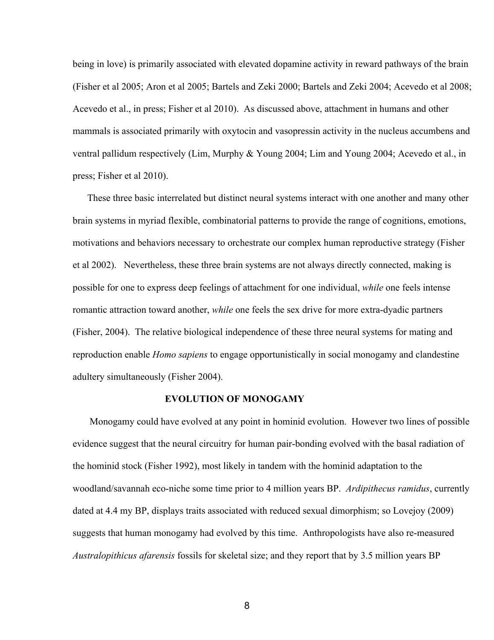being in love) is primarily associated with elevated dopamine activity in reward pathways of the brain (Fisher et al 2005; Aron et al 2005; Bartels and Zeki 2000; Bartels and Zeki 2004; Acevedo et al 2008; Acevedo et al., in press; Fisher et al 2010). As discussed above, attachment in humans and other mammals is associated primarily with oxytocin and vasopressin activity in the nucleus accumbens and ventral pallidum respectively (Lim, Murphy & Young 2004; Lim and Young 2004; Acevedo et al., in press; Fisher et al 2010).

 These three basic interrelated but distinct neural systems interact with one another and many other brain systems in myriad flexible, combinatorial patterns to provide the range of cognitions, emotions, motivations and behaviors necessary to orchestrate our complex human reproductive strategy (Fisher et al 2002). Nevertheless, these three brain systems are not always directly connected, making is possible for one to express deep feelings of attachment for one individual, *while* one feels intense romantic attraction toward another, *while* one feels the sex drive for more extra-dyadic partners (Fisher, 2004). The relative biological independence of these three neural systems for mating and reproduction enable *Homo sapiens* to engage opportunistically in social monogamy and clandestine adultery simultaneously (Fisher 2004).

### **EVOLUTION OF MONOGAMY**

 Monogamy could have evolved at any point in hominid evolution. However two lines of possible evidence suggest that the neural circuitry for human pair-bonding evolved with the basal radiation of the hominid stock (Fisher 1992), most likely in tandem with the hominid adaptation to the woodland/savannah eco-niche some time prior to 4 million years BP. *Ardipithecus ramidus*, currently dated at 4.4 my BP, displays traits associated with reduced sexual dimorphism; so Lovejoy (2009) suggests that human monogamy had evolved by this time. Anthropologists have also re-measured *Australopithicus afarensis* fossils for skeletal size; and they report that by 3.5 million years BP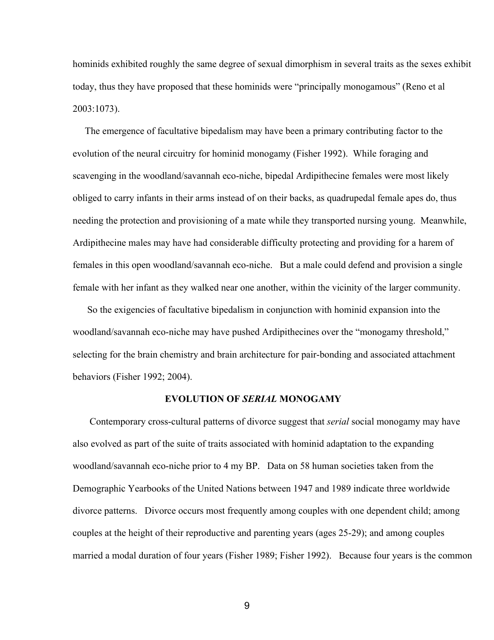hominids exhibited roughly the same degree of sexual dimorphism in several traits as the sexes exhibit today, thus they have proposed that these hominids were "principally monogamous" (Reno et al 2003:1073).

 The emergence of facultative bipedalism may have been a primary contributing factor to the evolution of the neural circuitry for hominid monogamy (Fisher 1992). While foraging and scavenging in the woodland/savannah eco-niche, bipedal Ardipithecine females were most likely obliged to carry infants in their arms instead of on their backs, as quadrupedal female apes do, thus needing the protection and provisioning of a mate while they transported nursing young. Meanwhile, Ardipithecine males may have had considerable difficulty protecting and providing for a harem of females in this open woodland/savannah eco-niche. But a male could defend and provision a single female with her infant as they walked near one another, within the vicinity of the larger community.

 So the exigencies of facultative bipedalism in conjunction with hominid expansion into the woodland/savannah eco-niche may have pushed Ardipithecines over the "monogamy threshold," selecting for the brain chemistry and brain architecture for pair-bonding and associated attachment behaviors (Fisher 1992; 2004).

### **EVOLUTION OF** *SERIAL* **MONOGAMY**

Contemporary cross-cultural patterns of divorce suggest that *serial* social monogamy may have also evolved as part of the suite of traits associated with hominid adaptation to the expanding woodland/savannah eco-niche prior to 4 my BP. Data on 58 human societies taken from the Demographic Yearbooks of the United Nations between 1947 and 1989 indicate three worldwide divorce patterns. Divorce occurs most frequently among couples with one dependent child; among couples at the height of their reproductive and parenting years (ages 25-29); and among couples married a modal duration of four years (Fisher 1989; Fisher 1992). Because four years is the common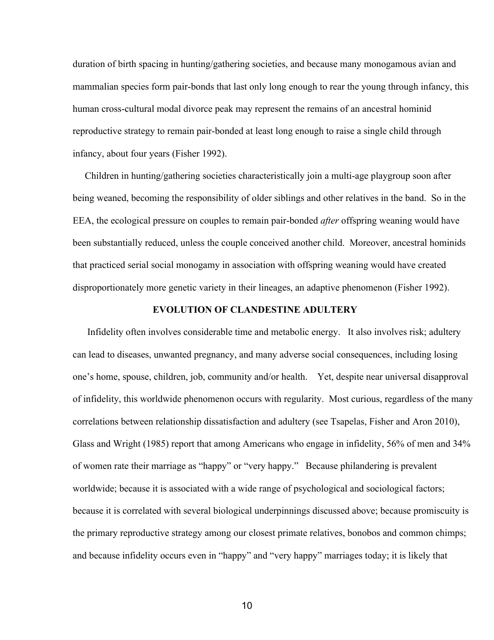duration of birth spacing in hunting/gathering societies, and because many monogamous avian and mammalian species form pair-bonds that last only long enough to rear the young through infancy, this human cross-cultural modal divorce peak may represent the remains of an ancestral hominid reproductive strategy to remain pair-bonded at least long enough to raise a single child through infancy, about four years (Fisher 1992).

Children in hunting/gathering societies characteristically join a multi-age playgroup soon after being weaned, becoming the responsibility of older siblings and other relatives in the band. So in the EEA, the ecological pressure on couples to remain pair-bonded *after* offspring weaning would have been substantially reduced, unless the couple conceived another child. Moreover, ancestral hominids that practiced serial social monogamy in association with offspring weaning would have created disproportionately more genetic variety in their lineages, an adaptive phenomenon (Fisher 1992).

# **EVOLUTION OF CLANDESTINE ADULTERY**

 Infidelity often involves considerable time and metabolic energy. It also involves risk; adultery can lead to diseases, unwanted pregnancy, and many adverse social consequences, including losing one's home, spouse, children, job, community and/or health. Yet, despite near universal disapproval of infidelity, this worldwide phenomenon occurs with regularity. Most curious, regardless of the many correlations between relationship dissatisfaction and adultery (see Tsapelas, Fisher and Aron 2010), Glass and Wright (1985) report that among Americans who engage in infidelity, 56% of men and 34% of women rate their marriage as "happy" or "very happy." Because philandering is prevalent worldwide; because it is associated with a wide range of psychological and sociological factors; because it is correlated with several biological underpinnings discussed above; because promiscuity is the primary reproductive strategy among our closest primate relatives, bonobos and common chimps; and because infidelity occurs even in "happy" and "very happy" marriages today; it is likely that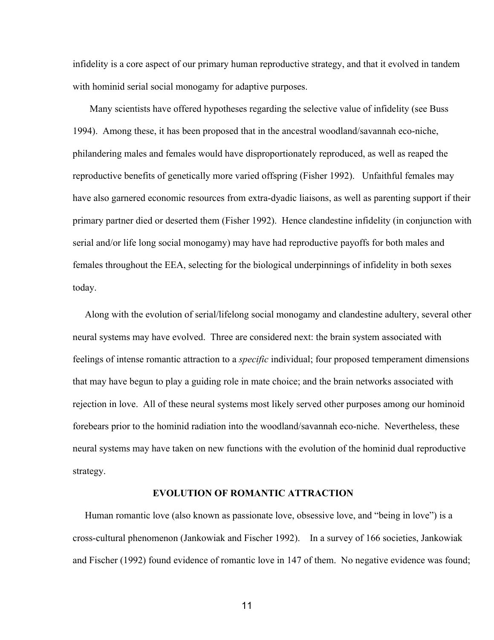infidelity is a core aspect of our primary human reproductive strategy, and that it evolved in tandem with hominid serial social monogamy for adaptive purposes.

 Many scientists have offered hypotheses regarding the selective value of infidelity (see Buss 1994). Among these, it has been proposed that in the ancestral woodland/savannah eco-niche, philandering males and females would have disproportionately reproduced, as well as reaped the reproductive benefits of genetically more varied offspring (Fisher 1992). Unfaithful females may have also garnered economic resources from extra-dyadic liaisons, as well as parenting support if their primary partner died or deserted them (Fisher 1992). Hence clandestine infidelity (in conjunction with serial and/or life long social monogamy) may have had reproductive payoffs for both males and females throughout the EEA, selecting for the biological underpinnings of infidelity in both sexes today.

 Along with the evolution of serial/lifelong social monogamy and clandestine adultery, several other neural systems may have evolved. Three are considered next: the brain system associated with feelings of intense romantic attraction to a *specific* individual; four proposed temperament dimensions that may have begun to play a guiding role in mate choice; and the brain networks associated with rejection in love. All of these neural systems most likely served other purposes among our hominoid forebears prior to the hominid radiation into the woodland/savannah eco-niche. Nevertheless, these neural systems may have taken on new functions with the evolution of the hominid dual reproductive strategy.

### **EVOLUTION OF ROMANTIC ATTRACTION**

 Human romantic love (also known as passionate love, obsessive love, and "being in love") is a cross-cultural phenomenon (Jankowiak and Fischer 1992). In a survey of 166 societies, Jankowiak and Fischer (1992) found evidence of romantic love in 147 of them. No negative evidence was found;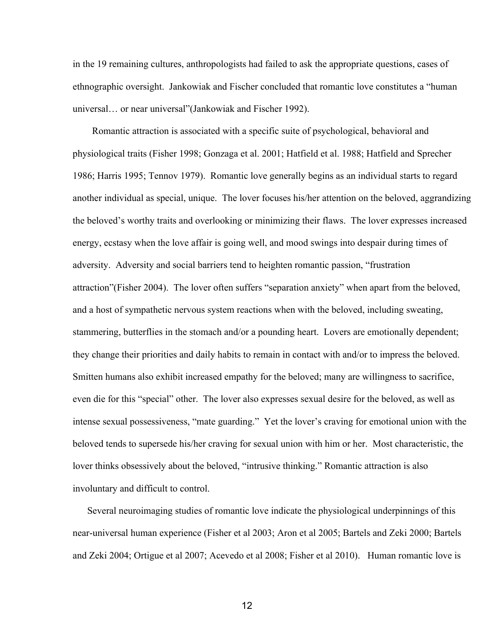in the 19 remaining cultures, anthropologists had failed to ask the appropriate questions, cases of ethnographic oversight. Jankowiak and Fischer concluded that romantic love constitutes a "human universal… or near universal"(Jankowiak and Fischer 1992).

 Romantic attraction is associated with a specific suite of psychological, behavioral and physiological traits (Fisher 1998; Gonzaga et al. 2001; Hatfield et al. 1988; Hatfield and Sprecher 1986; Harris 1995; Tennov 1979). Romantic love generally begins as an individual starts to regard another individual as special, unique. The lover focuses his/her attention on the beloved, aggrandizing the beloved's worthy traits and overlooking or minimizing their flaws. The lover expresses increased energy, ecstasy when the love affair is going well, and mood swings into despair during times of adversity. Adversity and social barriers tend to heighten romantic passion, "frustration attraction"(Fisher 2004). The lover often suffers "separation anxiety" when apart from the beloved, and a host of sympathetic nervous system reactions when with the beloved, including sweating, stammering, butterflies in the stomach and/or a pounding heart. Lovers are emotionally dependent; they change their priorities and daily habits to remain in contact with and/or to impress the beloved. Smitten humans also exhibit increased empathy for the beloved; many are willingness to sacrifice, even die for this "special" other. The lover also expresses sexual desire for the beloved, as well as intense sexual possessiveness, "mate guarding." Yet the lover's craving for emotional union with the beloved tends to supersede his/her craving for sexual union with him or her. Most characteristic, the lover thinks obsessively about the beloved, "intrusive thinking." Romantic attraction is also involuntary and difficult to control.

 Several neuroimaging studies of romantic love indicate the physiological underpinnings of this near-universal human experience (Fisher et al 2003; Aron et al 2005; Bartels and Zeki 2000; Bartels and Zeki 2004; Ortigue et al 2007; Acevedo et al 2008; Fisher et al 2010). Human romantic love is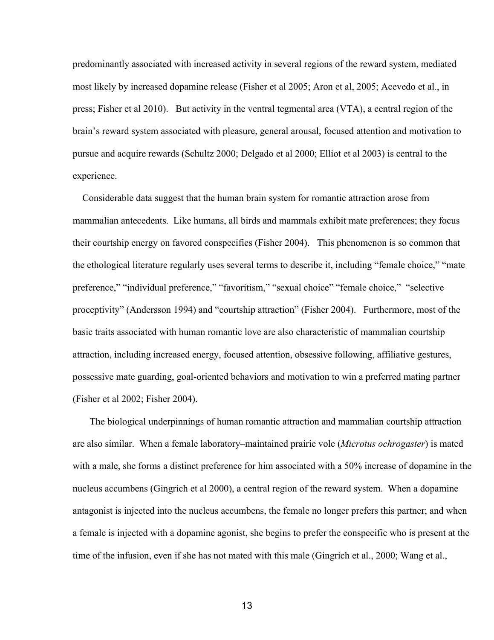predominantly associated with increased activity in several regions of the reward system, mediated most likely by increased dopamine release (Fisher et al 2005; Aron et al, 2005; Acevedo et al., in press; Fisher et al 2010). But activity in the ventral tegmental area (VTA), a central region of the brain's reward system associated with pleasure, general arousal, focused attention and motivation to pursue and acquire rewards (Schultz 2000; Delgado et al 2000; Elliot et al 2003) is central to the experience.

 Considerable data suggest that the human brain system for romantic attraction arose from mammalian antecedents. Like humans, all birds and mammals exhibit mate preferences; they focus their courtship energy on favored conspecifics (Fisher 2004). This phenomenon is so common that the ethological literature regularly uses several terms to describe it, including "female choice," "mate preference," "individual preference," "favoritism," "sexual choice" "female choice," "selective proceptivity" (Andersson 1994) and "courtship attraction" (Fisher 2004). Furthermore, most of the basic traits associated with human romantic love are also characteristic of mammalian courtship attraction, including increased energy, focused attention, obsessive following, affiliative gestures, possessive mate guarding, goal-oriented behaviors and motivation to win a preferred mating partner (Fisher et al 2002; Fisher 2004).

 The biological underpinnings of human romantic attraction and mammalian courtship attraction are also similar. When a female laboratory–maintained prairie vole (*Microtus ochrogaster*) is mated with a male, she forms a distinct preference for him associated with a 50% increase of dopamine in the nucleus accumbens (Gingrich et al 2000), a central region of the reward system. When a dopamine antagonist is injected into the nucleus accumbens, the female no longer prefers this partner; and when a female is injected with a dopamine agonist, she begins to prefer the conspecific who is present at the time of the infusion, even if she has not mated with this male (Gingrich et al., 2000; Wang et al.,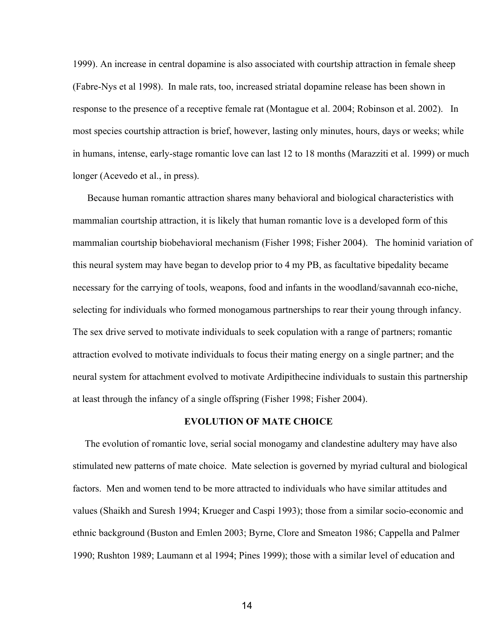1999). An increase in central dopamine is also associated with courtship attraction in female sheep (Fabre-Nys et al 1998). In male rats, too, increased striatal dopamine release has been shown in response to the presence of a receptive female rat (Montague et al. 2004; Robinson et al. 2002). In most species courtship attraction is brief, however, lasting only minutes, hours, days or weeks; while in humans, intense, early-stage romantic love can last 12 to 18 months (Marazziti et al. 1999) or much longer (Acevedo et al., in press).

 Because human romantic attraction shares many behavioral and biological characteristics with mammalian courtship attraction, it is likely that human romantic love is a developed form of this mammalian courtship biobehavioral mechanism (Fisher 1998; Fisher 2004). The hominid variation of this neural system may have began to develop prior to 4 my PB, as facultative bipedality became necessary for the carrying of tools, weapons, food and infants in the woodland/savannah eco-niche, selecting for individuals who formed monogamous partnerships to rear their young through infancy. The sex drive served to motivate individuals to seek copulation with a range of partners; romantic attraction evolved to motivate individuals to focus their mating energy on a single partner; and the neural system for attachment evolved to motivate Ardipithecine individuals to sustain this partnership at least through the infancy of a single offspring (Fisher 1998; Fisher 2004).

## **EVOLUTION OF MATE CHOICE**

 The evolution of romantic love, serial social monogamy and clandestine adultery may have also stimulated new patterns of mate choice. Mate selection is governed by myriad cultural and biological factors. Men and women tend to be more attracted to individuals who have similar attitudes and values (Shaikh and Suresh 1994; Krueger and Caspi 1993); those from a similar socio-economic and ethnic background (Buston and Emlen 2003; Byrne, Clore and Smeaton 1986; Cappella and Palmer 1990; Rushton 1989; Laumann et al 1994; Pines 1999); those with a similar level of education and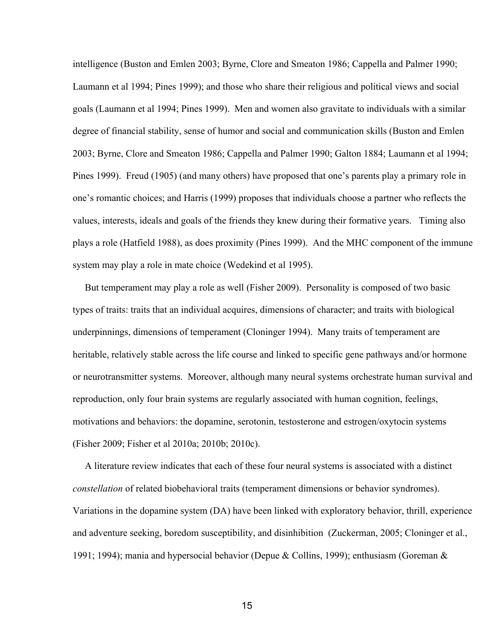intelligence (Buston and Emlen 2003; Byrne, Clore and Smeaton 1986; Cappella and Palmer 1990; Laumann et al 1994; Pines 1999); and those who share their religious and political views and social goals (Laumann et al 1994; Pines 1999). Men and women also gravitate to individuals with a similar degree of financial stability, sense of humor and social and communication skills (Buston and Emlen 2003; Byrne, Clore and Smeaton 1986; Cappella and Palmer 1990; Galton 1884; Laumann et al 1994; Pines 1999). Freud (1905) (and many others) have proposed that one's parents play a primary role in one's romantic choices; and Harris (1999) proposes that individuals choose a partner who reflects the values, interests, ideals and goals of the friends they knew during their formative years. Timing also plays a role (Hatfield 1988), as does proximity (Pines 1999). And the MHC component of the immune system may play a role in mate choice (Wedekind et al 1995).

 But temperament may play a role as well (Fisher 2009). Personality is composed of two basic types of traits: traits that an individual acquires, dimensions of character; and traits with biological underpinnings, dimensions of temperament (Cloninger 1994). Many traits of temperament are heritable, relatively stable across the life course and linked to specific gene pathways and/or hormone or neurotransmitter systems. Moreover, although many neural systems orchestrate human survival and reproduction, only four brain systems are regularly associated with human cognition, feelings, motivations and behaviors: the dopamine, serotonin, testosterone and estrogen/oxytocin systems (Fisher 2009; Fisher et al 2010a; 2010b; 2010c).

 A literature review indicates that each of these four neural systems is associated with a distinct *constellation* of related biobehavioral traits (temperament dimensions or behavior syndromes). Variations in the dopamine system (DA) have been linked with exploratory behavior, thrill, experience and adventure seeking, boredom susceptibility, and disinhibition (Zuckerman, 2005; Cloninger et al., 1991; 1994); mania and hypersocial behavior (Depue & Collins, 1999); enthusiasm (Goreman &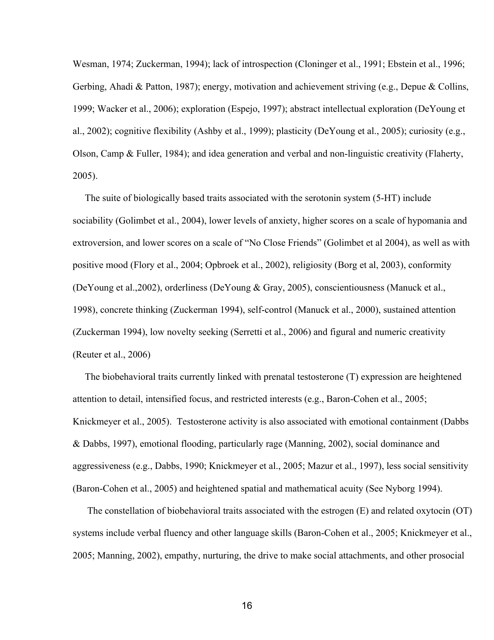Wesman, 1974; Zuckerman, 1994); lack of introspection (Cloninger et al., 1991; Ebstein et al., 1996; Gerbing, Ahadi & Patton, 1987); energy, motivation and achievement striving (e.g., Depue & Collins, 1999; Wacker et al., 2006); exploration (Espejo, 1997); abstract intellectual exploration (DeYoung et al., 2002); cognitive flexibility (Ashby et al., 1999); plasticity (DeYoung et al., 2005); curiosity (e.g., Olson, Camp & Fuller, 1984); and idea generation and verbal and non-linguistic creativity (Flaherty, 2005).

 The suite of biologically based traits associated with the serotonin system (5HT) include sociability (Golimbet et al., 2004), lower levels of anxiety, higher scores on a scale of hypomania and extroversion, and lower scores on a scale of "No Close Friends" (Golimbet et al 2004), as well as with positive mood (Flory et al., 2004; Opbroek et al., 2002), religiosity (Borg et al, 2003), conformity (DeYoung et al.,2002), orderliness (DeYoung & Gray, 2005), conscientiousness (Manuck et al., 1998), concrete thinking (Zuckerman 1994), self-control (Manuck et al., 2000), sustained attention (Zuckerman 1994), low novelty seeking (Serretti et al., 2006) and figural and numeric creativity (Reuter et al., 2006)

 The biobehavioral traits currently linked with prenatal testosterone (T) expression are heightened attention to detail, intensified focus, and restricted interests (e.g., Baron-Cohen et al.,  $2005$ ; Knickmeyer et al., 2005). Testosterone activity is also associated with emotional containment (Dabbs & Dabbs, 1997), emotional flooding, particularly rage (Manning, 2002), social dominance and aggressiveness (e.g., Dabbs, 1990; Knickmeyer et al., 2005; Mazur et al., 1997), less social sensitivity (Baron-Cohen et al., 2005) and heightened spatial and mathematical acuity (See Nyborg 1994).

 The constellation of biobehavioral traits associated with the estrogen (E) and related oxytocin (OT) systems include verbal fluency and other language skills (Baron-Cohen et al., 2005; Knickmeyer et al., 2005; Manning, 2002), empathy, nurturing, the drive to make social attachments, and other prosocial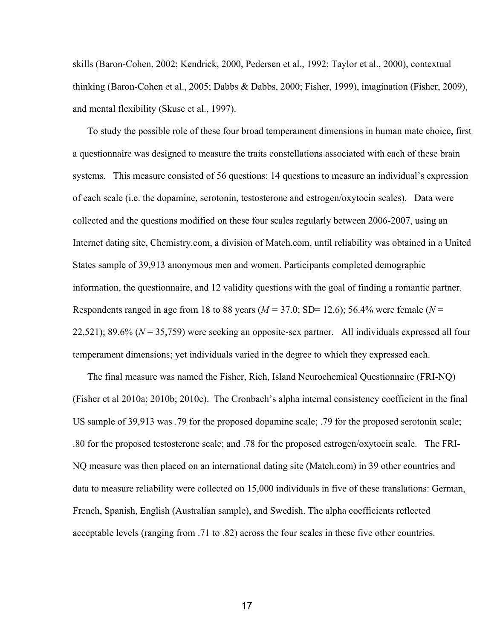skills (Baron-Cohen, 2002; Kendrick, 2000, Pedersen et al., 1992; Taylor et al., 2000), contextual thinking (Baron-Cohen et al., 2005; Dabbs & Dabbs, 2000; Fisher, 1999), imagination (Fisher, 2009), and mental flexibility (Skuse et al., 1997).

 To study the possible role of these four broad temperament dimensions in human mate choice, first a questionnaire was designed to measure the traits constellations associated with each of these brain systems. This measure consisted of 56 questions: 14 questions to measure an individual's expression of each scale (i.e. the dopamine, serotonin, testosterone and estrogen/oxytocin scales). Data were collected and the questions modified on these four scales regularly between 2006-2007, using an Internet dating site, Chemistry.com, a division of Match.com, until reliability was obtained in a United States sample of 39,913 anonymous men and women. Participants completed demographic information, the questionnaire, and 12 validity questions with the goal of finding a romantic partner. Respondents ranged in age from 18 to 88 years ( $M = 37.0$ ; SD= 12.6); 56.4% were female ( $N =$ 22,521); 89.6%  $(N = 35,759)$  were seeking an opposite-sex partner. All individuals expressed all four temperament dimensions; yet individuals varied in the degree to which they expressed each.

The final measure was named the Fisher, Rich, Island Neurochemical Questionnaire (FRI-NQ) (Fisher et al 2010a; 2010b; 2010c). The Cronbach's alpha internal consistency coefficient in the final US sample of 39,913 was .79 for the proposed dopamine scale; .79 for the proposed serotonin scale; .80 for the proposed testosterone scale; and .78 for the proposed estrogen/oxytocin scale. The FRI-NQ measure was then placed on an international dating site (Match.com) in 39 other countries and data to measure reliability were collected on 15,000 individuals in five of these translations: German, French, Spanish, English (Australian sample), and Swedish. The alpha coefficients reflected acceptable levels (ranging from .71 to .82) across the four scales in these five other countries.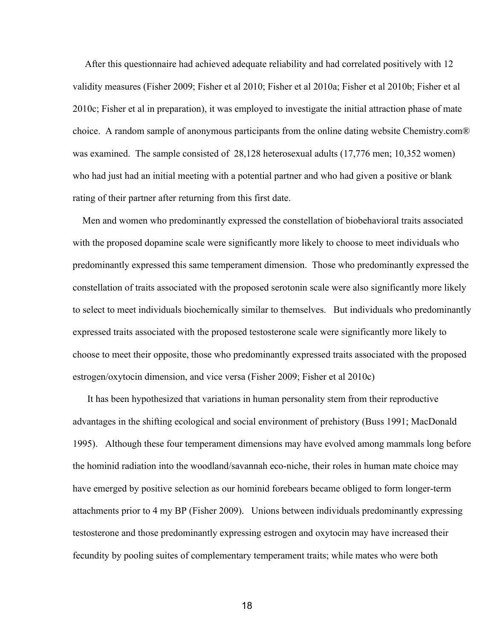After this questionnaire had achieved adequate reliability and had correlated positively with 12 validity measures (Fisher 2009; Fisher et al 2010; Fisher et al 2010a; Fisher et al 2010b; Fisher et al 2010c; Fisher et al in preparation), it was employed to investigate the initial attraction phase of mate choice. A random sample of anonymous participants from the online dating website Chemistry.com® was examined. The sample consisted of 28,128 heterosexual adults (17,776 men; 10,352 women) who had just had an initial meeting with a potential partner and who had given a positive or blank rating of their partner after returning from this first date.

 Men and women who predominantly expressed the constellation of biobehavioral traits associated with the proposed dopamine scale were significantly more likely to choose to meet individuals who predominantly expressed this same temperament dimension. Those who predominantly expressed the constellation of traits associated with the proposed serotonin scale were also significantly more likely to select to meet individuals biochemically similar to themselves. But individuals who predominantly expressed traits associated with the proposed testosterone scale were significantly more likely to choose to meet their opposite, those who predominantly expressed traits associated with the proposed estrogen/oxytocin dimension, and vice versa (Fisher 2009; Fisher et al 2010c)

 It has been hypothesized that variations in human personality stem from their reproductive advantages in the shifting ecological and social environment of prehistory (Buss 1991; MacDonald 1995). Although these four temperament dimensions may have evolved among mammals long before the hominid radiation into the woodland/savannah econiche, their roles in human mate choice may have emerged by positive selection as our hominid forebears became obliged to form longer-term attachments prior to 4 my BP (Fisher 2009). Unions between individuals predominantly expressing testosterone and those predominantly expressing estrogen and oxytocin may have increased their fecundity by pooling suites of complementary temperament traits; while mates who were both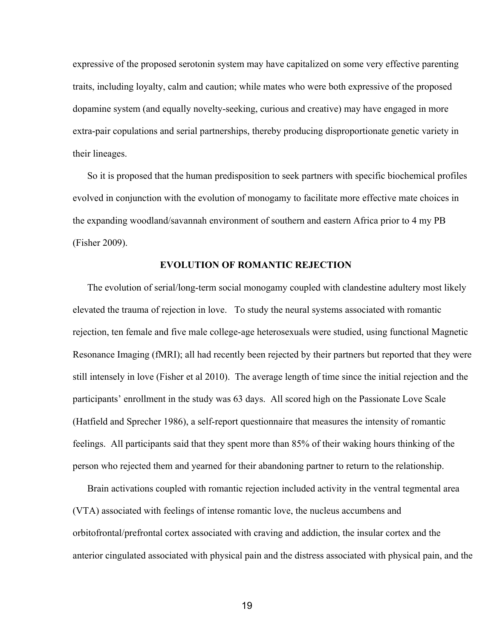expressive of the proposed serotonin system may have capitalized on some very effective parenting traits, including loyalty, calm and caution; while mates who were both expressive of the proposed dopamine system (and equally novelty-seeking, curious and creative) may have engaged in more extra-pair copulations and serial partnerships, thereby producing disproportionate genetic variety in their lineages.

 So it is proposed that the human predisposition to seek partners with specific biochemical profiles evolved in conjunction with the evolution of monogamy to facilitate more effective mate choices in the expanding woodland/savannah environment of southern and eastern Africa prior to 4 my PB (Fisher 2009).

### **EVOLUTION OF ROMANTIC REJECTION**

The evolution of serial/long-term social monogamy coupled with clandestine adultery most likely elevated the trauma of rejection in love. To study the neural systems associated with romantic rejection, ten female and five male college-age heterosexuals were studied, using functional Magnetic Resonance Imaging (fMRI); all had recently been rejected by their partners but reported that they were still intensely in love (Fisher et al 2010). The average length of time since the initial rejection and the participants' enrollment in the study was 63 days. All scored high on the Passionate Love Scale (Hatfield and Sprecher 1986), a selfreport questionnaire that measures the intensity of romantic feelings. All participants said that they spent more than 85% of their waking hours thinking of the person who rejected them and yearned for their abandoning partner to return to the relationship.

 Brain activations coupled with romantic rejection included activity in the ventral tegmental area (VTA) associated with feelings of intense romantic love, the nucleus accumbens and orbitofrontal/prefrontal cortex associated with craving and addiction, the insular cortex and the anterior cingulated associated with physical pain and the distress associated with physical pain, and the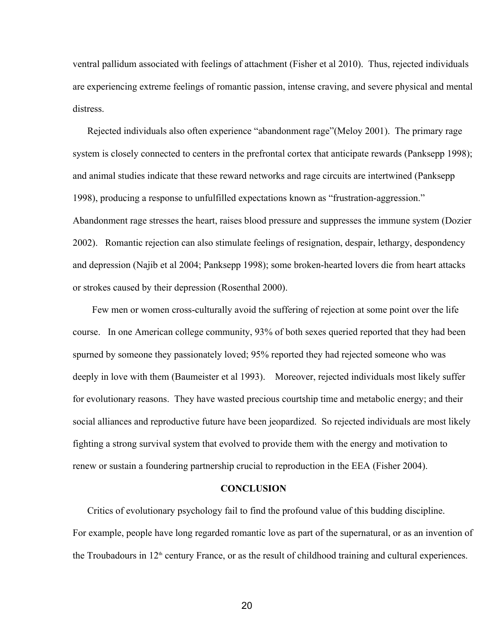ventral pallidum associated with feelings of attachment (Fisher et al 2010). Thus, rejected individuals are experiencing extreme feelings of romantic passion, intense craving, and severe physical and mental distress.

 Rejected individuals also often experience "abandonment rage"(Meloy 2001). The primary rage system is closely connected to centers in the prefrontal cortex that anticipate rewards (Panksepp 1998); and animal studies indicate that these reward networks and rage circuits are intertwined (Panksepp 1998), producing a response to unfulfilled expectations known as "frustration-aggression." Abandonment rage stresses the heart, raises blood pressure and suppresses the immune system (Dozier 2002). Romantic rejection can also stimulate feelings of resignation, despair, lethargy, despondency and depression (Najib et al 2004; Panksepp 1998); some broken-hearted lovers die from heart attacks or strokes caused by their depression (Rosenthal 2000).

Few men or women cross-culturally avoid the suffering of rejection at some point over the life course. In one American college community, 93% of both sexes queried reported that they had been spurned by someone they passionately loved; 95% reported they had rejected someone who was deeply in love with them (Baumeister et al 1993). Moreover, rejected individuals most likely suffer for evolutionary reasons. They have wasted precious courtship time and metabolic energy; and their social alliances and reproductive future have been jeopardized. So rejected individuals are most likely fighting a strong survival system that evolved to provide them with the energy and motivation to renew or sustain a foundering partnership crucial to reproduction in the EEA (Fisher 2004).

### **CONCLUSION**

 Critics of evolutionary psychology fail to find the profound value of this budding discipline. For example, people have long regarded romantic love as part of the supernatural, or as an invention of the Troubadours in  $12<sup>th</sup>$  century France, or as the result of childhood training and cultural experiences.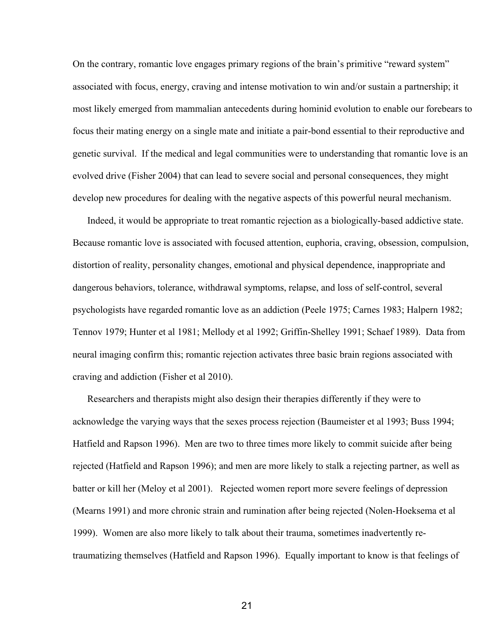On the contrary, romantic love engages primary regions of the brain's primitive "reward system" associated with focus, energy, craving and intense motivation to win and/or sustain a partnership; it most likely emerged from mammalian antecedents during hominid evolution to enable our forebears to focus their mating energy on a single mate and initiate a pair-bond essential to their reproductive and genetic survival. If the medical and legal communities were to understanding that romantic love is an evolved drive (Fisher 2004) that can lead to severe social and personal consequences, they might develop new procedures for dealing with the negative aspects of this powerful neural mechanism.

Indeed, it would be appropriate to treat romantic rejection as a biologically-based addictive state. Because romantic love is associated with focused attention, euphoria, craving, obsession, compulsion, distortion of reality, personality changes, emotional and physical dependence, inappropriate and dangerous behaviors, tolerance, withdrawal symptoms, relapse, and loss of self-control, several psychologists have regarded romantic love as an addiction (Peele 1975; Carnes 1983; Halpern 1982; Tennov 1979; Hunter et al 1981; Mellody et al 1992; Griffin-Shelley 1991; Schaef 1989). Data from neural imaging confirm this; romantic rejection activates three basic brain regions associated with craving and addiction (Fisher et al 2010).

 Researchers and therapists might also design their therapies differently if they were to acknowledge the varying ways that the sexes process rejection (Baumeister et al 1993; Buss 1994; Hatfield and Rapson 1996). Men are two to three times more likely to commit suicide after being rejected (Hatfield and Rapson 1996); and men are more likely to stalk a rejecting partner, as well as batter or kill her (Meloy et al 2001). Rejected women report more severe feelings of depression (Mearns 1991) and more chronic strain and rumination after being rejected (Nolen-Hoeksema et al 1999). Women are also more likely to talk about their trauma, sometimes inadvertently retraumatizing themselves (Hatfield and Rapson 1996). Equally important to know is that feelings of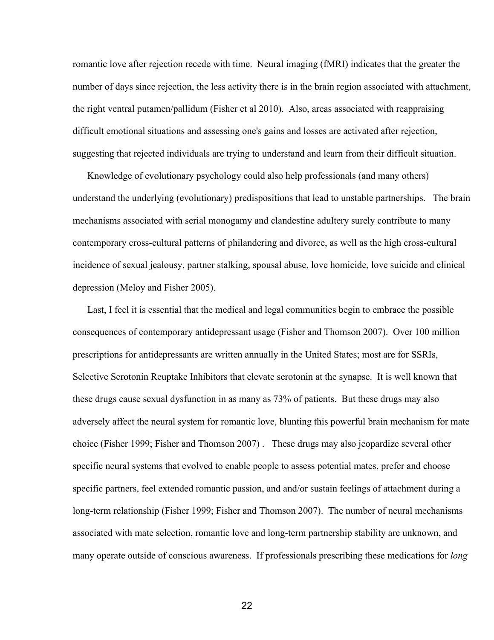romantic love after rejection recede with time. Neural imaging (fMRI) indicates that the greater the number of days since rejection, the less activity there is in the brain region associated with attachment, the right ventral putamen/pallidum (Fisher et al 2010). Also, areas associated with reappraising difficult emotional situations and assessing one's gains and losses are activated after rejection, suggesting that rejected individuals are trying to understand and learn from their difficult situation.

 Knowledge of evolutionary psychology could also help professionals (and many others) understand the underlying (evolutionary) predispositions that lead to unstable partnerships. The brain mechanisms associated with serial monogamy and clandestine adultery surely contribute to many contemporary cross-cultural patterns of philandering and divorce, as well as the high cross-cultural incidence of sexual jealousy, partner stalking, spousal abuse, love homicide, love suicide and clinical depression (Meloy and Fisher 2005).

 Last, I feel it is essential that the medical and legal communities begin to embrace the possible consequences of contemporary antidepressant usage (Fisher and Thomson 2007). Over 100 million prescriptions for antidepressants are written annually in the United States; most are for SSRIs, Selective Serotonin Reuptake Inhibitors that elevate serotonin at the synapse.It is well known that these drugs cause sexual dysfunction in as many as 73% of patients. But these drugs may also adversely affect the neural system for romantic love, blunting this powerful brain mechanism for mate choice (Fisher 1999; Fisher and Thomson 2007) . These drugs may also jeopardize several other specific neural systems that evolved to enable people to assess potential mates, prefer and choose specific partners, feel extended romantic passion, and and/or sustain feelings of attachment during a long-term relationship (Fisher 1999; Fisher and Thomson 2007). The number of neural mechanisms associated with mate selection, romantic love and long-term partnership stability are unknown, and many operate outside of conscious awareness. If professionals prescribing these medications for *long*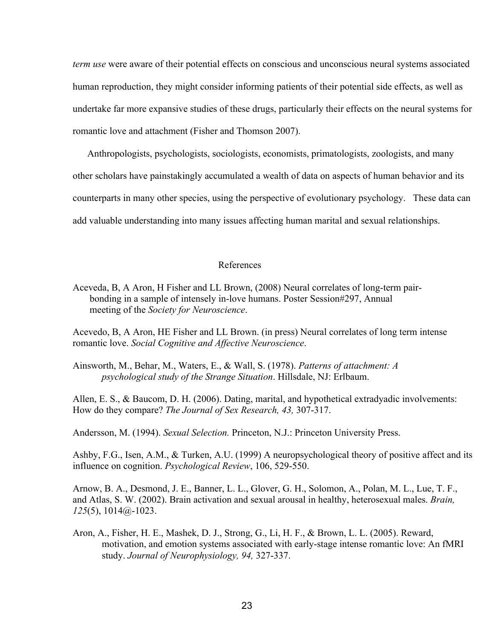*term use* were aware of their potential effects on conscious and unconscious neural systems associated human reproduction, they might consider informing patients of their potential side effects, as well as undertake far more expansive studies of these drugs, particularly their effects on the neural systems for romantic love and attachment (Fisher and Thomson 2007).

 Anthropologists, psychologists, sociologists, economists, primatologists, zoologists, and many other scholars have painstakingly accumulated a wealth of data on aspects of human behavior and its counterparts in many other species, using the perspective of evolutionary psychology. These data can add valuable understanding into many issues affecting human marital and sexual relationships.

# References

Aceveda, B, A Aron, H Fisher and LL Brown, (2008) Neural correlates of long-term pairbonding in a sample of intensely in-love humans. Poster Session#297, Annual meeting of the *Society for Neuroscience*.

Acevedo, B, A Aron, HE Fisher and LL Brown. (in press) Neural correlates of long term intense romantic love. *Social Cognitive and Affective Neuroscience*.

Ainsworth, M., Behar, M., Waters, E., & Wall, S. (1978). *Patterns of attachment: A psychological study of the Strange Situation*. Hillsdale, NJ: Erlbaum.

Allen, E. S., & Baucom, D. H. (2006). Dating, marital, and hypothetical extradyadic involvements: How do they compare? *The Journal of Sex Research*, 43, 307-317.

Andersson, M. (1994). *Sexual Selection.* Princeton, N.J.: Princeton University Press.

Ashby, F.G., Isen, A.M., & Turken, A.U. (1999) A neuropsychological theory of positive affect and its influence on cognition. *Psychological Review*, 106, 529-550.

Arnow, B. A., Desmond, J. E., Banner, L. L., Glover, G. H., Solomon, A., Polan, M. L., Lue, T. F., and Atlas, S. W. (2002). Brain activation and sexual arousal in healthy, heterosexual males. *Brain,*   $125(5)$ ,  $1014@-1023$ .

Aron, A., Fisher, H. E., Mashek, D. J., Strong, G., Li, H. F., & Brown, L. L. (2005). Reward, motivation, and emotion systems associated with early-stage intense romantic love: An fMRI study. *Journal of Neurophysiology*, 94, 327-337.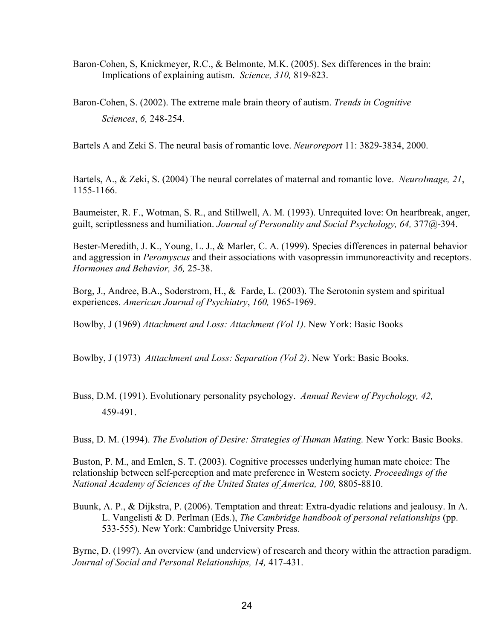- Baron-Cohen, S, Knickmeyer, R.C., & Belmonte, M.K. (2005). Sex differences in the brain: Implications of explaining autism. *Science*, 310, 819-823.
- Baron-Cohen, S. (2002). The extreme male brain theory of autism. *Trends in Cognitive Sciences*, 6, 248-254.

Bartels A and Zeki S. The neural basis of romantic love. *Neuroreport* 11: 3829-3834, 2000.

Bartels, A., & Zeki, S. (2004) The neural correlates of maternal and romantic love. *NeuroImage, 21*, 11551166.

Baumeister, R. F., Wotman, S. R., and Stillwell, A. M. (1993). Unrequited love: On heartbreak, anger, guilt, scriptlessness and humiliation. *Journal of Personality and Social Psychology, 64, 377* $@$ -394.

Bester-Meredith, J. K., Young, L. J., & Marler, C. A. (1999). Species differences in paternal behavior and aggression in *Peromyscus* and their associations with vasopressin immunoreactivity and receptors. *Hormones and Behavior, 36, 25-38.* 

Borg, J., Andree, B.A., Soderstrom, H., & Farde, L. (2003). The Serotonin system and spiritual experiences. *American Journal of Psychiatry*, 160, 1965-1969.

Bowlby, J (1969) *Attachment and Loss: Attachment (Vol 1)*. New York: Basic Books

Bowlby, J (1973) *Atttachment and Loss: Separation (Vol 2)*. New York: Basic Books.

Buss, D.M. (1991). Evolutionary personality psychology. *Annual Review of Psychology, 42,* 459491.

Buss, D. M. (1994). *The Evolution of Desire: Strategies of Human Mating.* New York: Basic Books.

Buston, P. M., and Emlen, S. T. (2003). Cognitive processes underlying human mate choice: The relationship between self-perception and mate preference in Western society. *Proceedings of the National Academy of Sciences of the United States of America, 100, 8805-8810.* 

Buunk, A. P., & Dijkstra, P. (2006). Temptation and threat: Extra-dyadic relations and jealousy. In A. L. Vangelisti & D. Perlman (Eds.), *The Cambridge handbook of personal relationships* (pp. 533-555). New York: Cambridge University Press.

Byrne, D. (1997). An overview (and underview) of research and theory within the attraction paradigm. *Journal of Social and Personal Relationships, 14, 417-431.*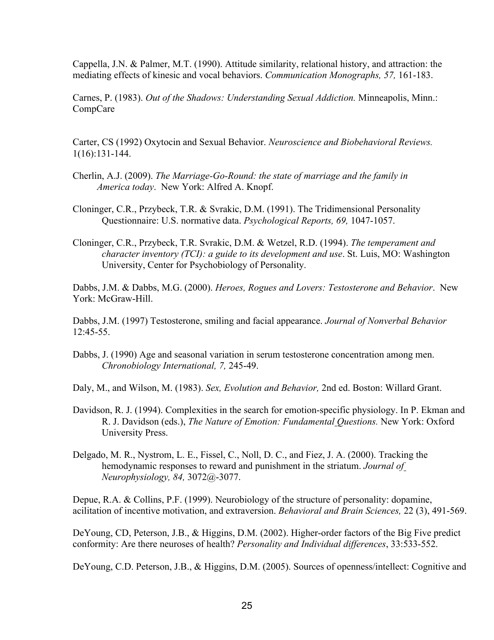Cappella, J.N. & Palmer, M.T. (1990). Attitude similarity, relational history, and attraction: the mediating effects of kinesic and vocal behaviors. *Communication Monographs*, 57, 161-183.

Carnes, P. (1983). *Out of the Shadows: Understanding Sexual Addiction.* Minneapolis, Minn.: CompCare

Carter, CS (1992) Oxytocin and Sexual Behavior. *Neuroscience and Biobehavioral Reviews.*  $1(16):131-144.$ 

- Cherlin, A.J. (2009). *The Marriage-Go-Round: the state of marriage and the family in America today*. New York: Alfred A. Knopf.
- Cloninger, C.R., Przybeck, T.R. & Svrakic, D.M. (1991). The Tridimensional Personality Questionnaire: U.S. normative data. *Psychological Reports, 69, 1047-1057*.
- Cloninger, C.R., Przybeck, T.R. Svrakic, D.M. & Wetzel, R.D. (1994). *The temperament and character inventory (TCI): a guide to its development and use*. St. Luis, MO: Washington University, Center for Psychobiology of Personality.

Dabbs, J.M. & Dabbs, M.G. (2000). *Heroes, Rogues and Lovers: Testosterone and Behavior*. New York: McGraw-Hill.

Dabbs, J.M. (1997) Testosterone, smiling and facial appearance. *Journal of Nonverbal Behavior*  $12:45-55$ .

Dabbs, J. (1990) Age and seasonal variation in serum testosterone concentration among men. *Chronobiology International, 7, 245-49.* 

Daly, M., and Wilson, M. (1983). *Sex, Evolution and Behavior,* 2nd ed. Boston: Willard Grant.

- Davidson, R. J. (1994). Complexities in the search for emotion-specific physiology. In P. Ekman and R. J. Davidson (eds.), *The Nature of Emotion: Fundamental Questions.* New York: Oxford University Press.
- Delgado, M. R., Nystrom, L. E., Fissel, C., Noll, D. C., and Fiez, J. A. (2000). Tracking the hemodynamic responses to reward and punishment in the striatum. *Journal of Neurophysiology, 84, 3072@-3077.*

Depue, R.A. & Collins, P.F. (1999). Neurobiology of the structure of personality: dopamine, acilitation of incentive motivation, and extraversion. *Behavioral and Brain Sciences*, 22(3), 491-569.

DeYoung, CD, Peterson, J.B., & Higgins, D.M. (2002). Higher-order factors of the Big Five predict conformity: Are there neuroses of health? *Personality and Individual differences*, 33:533-552.

DeYoung, C.D. Peterson, J.B., & Higgins, D.M. (2005). Sources of openness/intellect: Cognitive and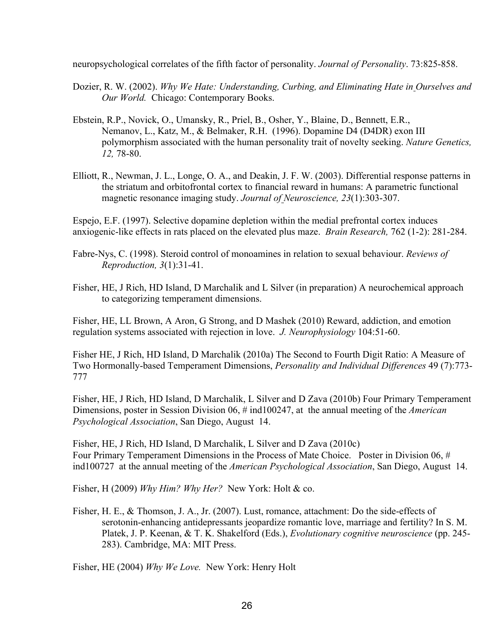neuropsychological correlates of the fifth factor of personality. *Journal of Personality*. 73:825-858.

- Dozier, R. W. (2002). *Why We Hate: Understanding, Curbing, and Eliminating Hate in Ourselves and Our World.* Chicago: Contemporary Books.
- Ebstein, R.P., Novick, O., Umansky, R., Priel, B., Osher, Y., Blaine, D., Bennett, E.R., Nemanov, L., Katz, M., & Belmaker, R.H. (1996). Dopamine D4 (D4DR) exon III polymorphism associated with the human personality trait of novelty seeking. *Nature Genetics, 12, 78-80.*
- Elliott, R., Newman, J. L., Longe, O. A., and Deakin, J. F. W. (2003). Differential response patterns in the striatum and orbitofrontal cortex to financial reward in humans: A parametric functional magnetic resonance imaging study. *Journal of Neuroscience*, 23(1):303-307.

Espejo, E.F. (1997). Selective dopamine depletion within the medial prefrontal cortex induces anxiogenic-like effects in rats placed on the elevated plus maze. *Brain Research*,  $762$  (1-2): 281-284.

- Fabre-Nys, C. (1998). Steroid control of monoamines in relation to sexual behaviour. *Reviews of Reproduction, 3(1):31-41.*
- Fisher, HE, J Rich, HD Island, D Marchalik and L Silver (in preparation) A neurochemical approach to categorizing temperament dimensions.

Fisher, HE, LL Brown, A Aron, G Strong, and D Mashek (2010) Reward, addiction, and emotion regulation systems associated with rejection in love. *J. Neurophysiology* 104:51-60.

Fisher HE, J Rich, HD Island, D Marchalik (2010a) The Second to Fourth Digit Ratio: A Measure of Two Hormonally-based Temperament Dimensions, *Personality and Individual Differences* 49 (7):773-777

Fisher, HE, J Rich, HD Island, D Marchalik, L Silver and D Zava (2010b) Four Primary Temperament Dimensions, poster in Session Division 06, # ind100247, at the annual meeting of the *American Psychological Association*, San Diego, August 14.

Fisher, HE, J Rich, HD Island, D Marchalik, L Silver and D Zava (2010c) Four Primary Temperament Dimensions in the Process of Mate Choice. Poster in Division 06, # ind100727 at the annual meeting of the *American Psychological Association*, San Diego, August 14.

Fisher, H (2009) *Why Him? Why Her?* New York: Holt & co.

Fisher, H. E.,  $\&$  Thomson, J. A., Jr. (2007). Lust, romance, attachment: Do the side-effects of serotonin-enhancing antidepressants jeopardize romantic love, marriage and fertility? In S. M. Platek, J. P. Keenan, & T. K. Shakelford (Eds.), *Evolutionary cognitive neuroscience* (pp. 245 283). Cambridge, MA: MIT Press.

Fisher, HE (2004) *Why We Love.* New York: Henry Holt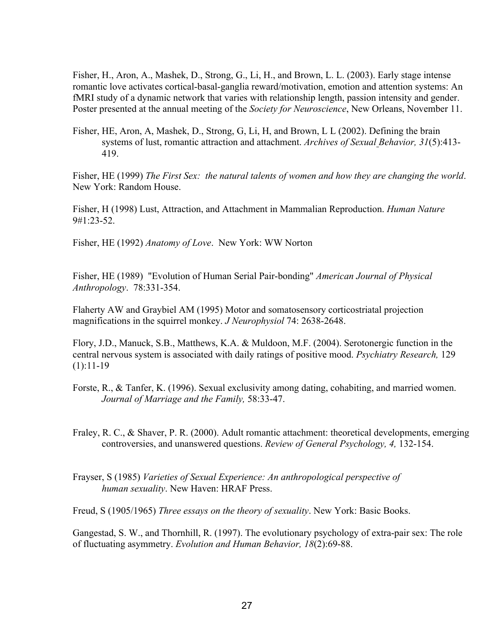Fisher, H., Aron, A., Mashek, D., Strong, G., Li, H., and Brown, L. L. (2003). Early stage intense romantic love activates cortical-basal-ganglia reward/motivation, emotion and attention systems: An fMRI study of a dynamic network that varies with relationship length, passion intensity and gender. Poster presented at the annual meeting of the *Society for Neuroscience*, New Orleans, November 11.

Fisher, HE, Aron, A, Mashek, D., Strong, G, Li, H, and Brown, L L (2002). Defining the brain systems of lust, romantic attraction and attachment. *Archives of Sexual Behavior, 31*(5):413 419.

Fisher, HE (1999) *The First Sex: the natural talents of women and how they are changing the world*. New York: Random House.

Fisher, H (1998) Lust, Attraction, and Attachment in Mammalian Reproduction. *Human Nature* 9#1:23-52.

Fisher, HE (1992) *Anatomy of Love*. New York: WW Norton

Fisher, HE (1989) "Evolution of Human Serial Pair-bonding" American Journal of Physical *Anthropology.* 78:331-354.

Flaherty AW and Graybiel AM (1995) Motor and somatosensory corticostriatal projection magnifications in the squirrel monkey. *J Neurophysiol* 74: 2638-2648.

Flory, J.D., Manuck, S.B., Matthews, K.A. & Muldoon, M.F. (2004). Serotonergic function in the central nervous system is associated with daily ratings of positive mood. *Psychiatry Research,* 129  $(1):11-19$ 

Forste, R., & Tanfer, K. (1996). Sexual exclusivity among dating, cohabiting, and married women. *Journal of Marriage and the Family,* 58:3347.

Fraley, R. C., & Shaver, P. R. (2000). Adult romantic attachment: theoretical developments, emerging controversies, and unanswered questions. *Review of General Psychology*, 4, 132-154.

Frayser, S (1985) *Varieties of Sexual Experience: An anthropological perspective of human sexuality*. New Haven: HRAF Press.

Freud, S (1905/1965) *Three essays on the theory of sexuality*. New York: Basic Books.

Gangestad, S. W., and Thornhill, R. (1997). The evolutionary psychology of extra-pair sex: The role of fluctuating asymmetry. *Evolution and Human Behavior*, 18(2):69-88.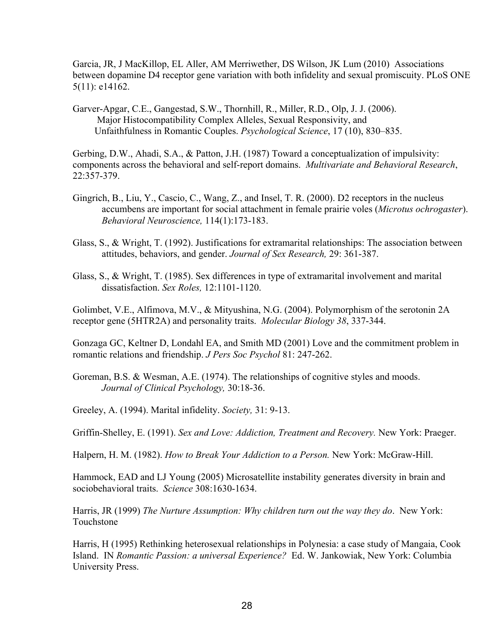Garcia, JR, J MacKillop, EL Aller, AM Merriwether, DS Wilson, JK Lum (2010) Associations between dopamine D4 receptor gene variation with both infidelity and sexual promiscuity. PLoS ONE 5(11): e14162.

Garver-Apgar, C.E., Gangestad, S.W., Thornhill, R., Miller, R.D., Olp, J. J. (2006). Major Histocompatibility Complex Alleles, Sexual Responsivity, and Unfaithfulness in Romantic Couples. *Psychological Science*, 17 (10), 830–835.

Gerbing, D.W., Ahadi, S.A., & Patton, J.H. (1987) Toward a conceptualization of impulsivity: components across the behavioral and self-report domains. *Multivariate and Behavioral Research*, 22:357-379.

- Gingrich, B., Liu, Y., Cascio, C., Wang, Z., and Insel, T. R. (2000). D2 receptors in the nucleus accumbens are important for social attachment in female prairie voles (*Microtus ochrogaster*). Behavioral Neuroscience, 114(1):173-183.
- Glass, S., & Wright, T. (1992). Justifications for extramarital relationships: The association between attitudes, behaviors, and gender. *Journal of Sex Research*, 29: 361-387.
- Glass, S., & Wright, T. (1985). Sex differences in type of extramarital involvement and marital dissatisfaction. *Sex Roles*, 12:1101-1120.

Golimbet, V.E., Alfimova, M.V., & Mityushina, N.G. (2004). Polymorphism of the serotonin 2A receptor gene (5HTR2A) and personality traits. *Molecular Biology* 38, 337-344.

Gonzaga GC, Keltner D, Londahl EA, and Smith MD (2001) Love and the commitment problem in romantic relations and friendship. *J Pers Soc Psychol* 81: 247-262.

Goreman, B.S. & Wesman, A.E. (1974). The relationships of cognitive styles and moods. Journal of Clinical Psychology, 30:18-36.

Greeley, A. (1994). Marital infidelity. *Society*, 31: 9-13.

Griffin-Shelley, E. (1991). *Sex and Love: Addiction, Treatment and Recovery.* New York: Praeger.

Halpern, H. M. (1982). *How to Break Your Addiction to a Person*. New York: McGraw-Hill.

Hammock, EAD and LJ Young (2005) Microsatellite instability generates diversity in brain and sociobehavioral traits. *Science* 308:1630-1634.

Harris, JR (1999) *The Nurture Assumption: Why children turn out the way they do*. New York: Touchstone

Harris, H (1995) Rethinking heterosexual relationships in Polynesia: a case study of Mangaia, Cook Island. IN *Romantic Passion: a universal Experience?* Ed. W. Jankowiak, New York: Columbia University Press.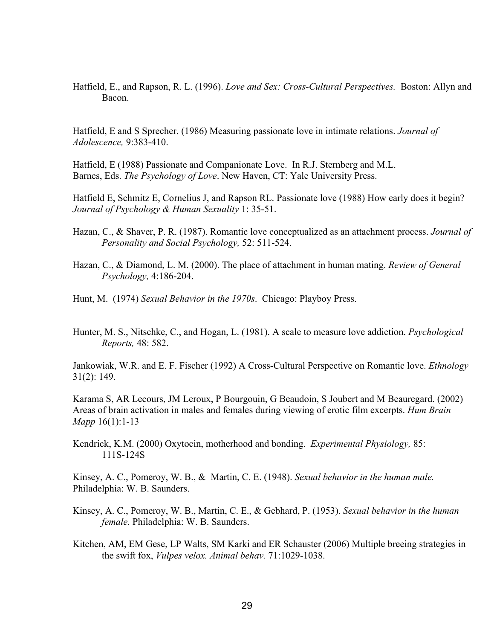Hatfield, E., and Rapson, R. L. (1996). *Love and Sex: Cross-Cultural Perspectives.* Boston: Allyn and Bacon.

Hatfield, E and S Sprecher. (1986) Measuring passionate love in intimate relations. *Journal of Adolescence*, 9:383-410.

Hatfield, E (1988) Passionate and Companionate Love. In R.J. Sternberg and M.L. Barnes, Eds. *The Psychology of Love*. New Haven, CT: Yale University Press.

Hatfield E, Schmitz E, Cornelius J, and Rapson RL. Passionate love (1988) How early does it begin? *Journal of Psychology & Human Sexuality* 1: 35-51.

- Hazan, C., & Shaver, P. R. (1987). Romantic love conceptualized as an attachment process. *Journal of*  Personality and Social Psychology, 52: 511-524.
- Hazan, C., & Diamond, L. M. (2000). The place of attachment in human mating. *Review of General Psychology,* 4:186-204.
- Hunt, M. (1974) *Sexual Behavior in the 1970s*. Chicago: Playboy Press.
- Hunter, M. S., Nitschke, C., and Hogan, L. (1981). A scale to measure love addiction. *Psychological Reports,* 48: 582.

Jankowiak, W.R. and E. F. Fischer (1992) A Cross-Cultural Perspective on Romantic love. *Ethnology* 31(2): 149.

Karama S, AR Lecours, JM Leroux, P Bourgouin, G Beaudoin, S Joubert and M Beauregard. (2002) Areas of brain activation in males and females during viewing of erotic film excerpts. *Hum Brain Mapp*  $16(1):1-13$ 

Kendrick, K.M. (2000) Oxytocin, motherhood and bonding. *Experimental Physiology,* 85: 111S124S

Kinsey, A. C., Pomeroy, W. B., & Martin, C. E. (1948). *Sexual behavior in the human male.*  Philadelphia: W. B. Saunders.

- Kinsey, A. C., Pomeroy, W. B., Martin, C. E., & Gebhard, P. (1953). *Sexual behavior in the human female.* Philadelphia: W. B. Saunders.
- Kitchen, AM, EM Gese, LP Walts, SM Karki and ER Schauster (2006) Multiple breeing strategies in the swift fox, *Vulpes velox. Animal behav.* 71:1029-1038.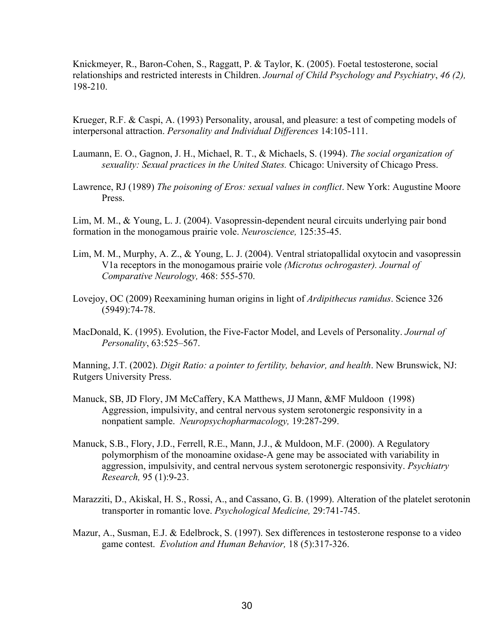Knickmeyer, R., Baron-Cohen, S., Raggatt, P. & Taylor, K. (2005). Foetal testosterone, social relationships and restricted interests in Children. *Journal of Child Psychology and Psychiatry*, *46 (2),* 198210.

Krueger, R.F. & Caspi, A. (1993) Personality, arousal, and pleasure: a test of competing models of interpersonal attraction. *Personality and Individual Differences* 14:105-111.

- Laumann, E. O., Gagnon, J. H., Michael, R. T., & Michaels, S. (1994). *The social organization of sexuality: Sexual practices in the United States.* Chicago: University of Chicago Press.
- Lawrence, RJ (1989) *The poisoning of Eros: sexual values in conflict*. New York: Augustine Moore Press.

Lim, M. M., & Young, L. J. (2004). Vasopressin-dependent neural circuits underlying pair bond formation in the monogamous prairie vole. *Neuroscience,* 125:3545.

- Lim, M. M., Murphy, A. Z., & Young, L. J. (2004). Ventral striatopallidal oxytocin and vasopressin V1a receptors in the monogamous prairie vole *(Microtus ochrogaster). Journal of Comparative Neurology, 468: 555-570.*
- Lovejoy, OC (2009) Reexamining human origins in light of *Ardipithecus ramidus*. Science 326  $(5949):74-78.$
- MacDonald, K. (1995). Evolution, the Five-Factor Model, and Levels of Personality. *Journal of Personality*, 63:525–567.

Manning, J.T. (2002). *Digit Ratio: a pointer to fertility, behavior, and health*. New Brunswick, NJ: Rutgers University Press.

- Manuck, SB, JD Flory, JM McCaffery, KA Matthews, JJ Mann, &MF Muldoon (1998) Aggression, impulsivity, and central nervous system serotonergic responsivity in a nonpatient sample. *Neuropsychopharmacology*, 19:287-299.
- Manuck, S.B., Flory, J.D., Ferrell, R.E., Mann, J.J., & Muldoon, M.F. (2000). A Regulatory polymorphism of the monoamine oxidase-A gene may be associated with variability in aggression, impulsivity, and central nervous system serotonergic responsivity. *Psychiatry Research, 95 (1):9-23.*
- Marazziti, D., Akiskal, H. S., Rossi, A., and Cassano, G. B. (1999). Alteration of the platelet serotonin transporter in romantic love. *Psychological Medicine*, 29:741-745.
- Mazur, A., Susman, E.J. & Edelbrock, S. (1997). Sex differences in testosterone response to a video game contest. *Evolution and Human Behavior*, 18 (5):317-326.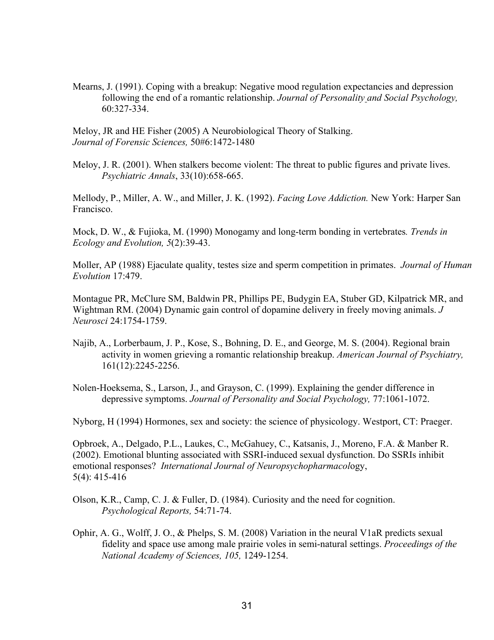Mearns, J. (1991). Coping with a breakup: Negative mood regulation expectancies and depression following the end of a romantic relationship. *Journal of Personality and Social Psychology,*  60:327334.

Meloy, JR and HE Fisher (2005) A Neurobiological Theory of Stalking. *Journal of Forensic Sciences, 50#6:1472-1480* 

Meloy, J. R. (2001). When stalkers become violent: The threat to public figures and private lives. *Psychiatric Annals*, 33(10):658-665.

Mellody, P., Miller, A. W., and Miller, J. K. (1992). *Facing Love Addiction.* New York: Harper San Francisco.

Mock, D. W., & Fujioka, M. (1990) Monogamy and long-term bonding in vertebrates. *Trends in Ecology and Evolution,*  $5(2)$ : 39-43.

Moller, AP (1988) Ejaculate quality, testes size and sperm competition in primates. *Journal of Human Evolution* 17:479.

Montague PR, McClure SM, Baldwin PR, Phillips PE, Budygin EA, Stuber GD, Kilpatrick MR, and Wightman RM. (2004) Dynamic gain control of dopamine delivery in freely moving animals. *J Neurosci* 24:1754-1759.

Najib, A., Lorberbaum, J. P., Kose, S., Bohning, D. E., and George, M. S. (2004). Regional brain activity in women grieving a romantic relationship breakup. *American Journal of Psychiatry,*  161(12):2245-2256.

Nolen-Hoeksema, S., Larson, J., and Grayson, C. (1999). Explaining the gender difference in depressive symptoms. *Journal of Personality and Social Psychology*, 77:1061-1072.

Nyborg, H (1994) Hormones, sex and society: the science of physicology. Westport, CT: Praeger.

Opbroek, A., Delgado, P.L., Laukes, C., McGahuey, C., Katsanis, J., Moreno, F.A. & Manber R.  $(2002)$ . Emotional blunting associated with SSRI-induced sexual dysfunction. Do SSRIs inhibit emotional responses? *International Journal of Neuropsychopharmacol*ogy,  $5(4)$ : 415-416

Olson, K.R., Camp, C. J. & Fuller, D. (1984). Curiosity and the need for cognition. *Psychological Reports, 54:71-74.* 

Ophir, A. G., Wolff, J. O., & Phelps, S. M. (2008) Variation in the neural V1aR predicts sexual fidelity and space use among male prairie voles in seminatural settings. *Proceedings of the National Academy of Sciences, 105, 1249-1254.*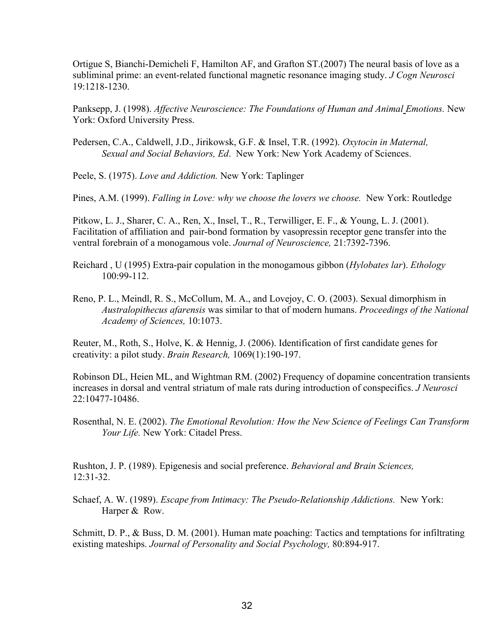Ortigue S, Bianchi-Demicheli F, Hamilton AF, and Grafton  $ST(2007)$  The neural basis of love as a subliminal prime: an event-related functional magnetic resonance imaging study. *J Cogn Neurosci* 19:1218-1230.

Panksepp, J. (1998). *Affective Neuroscience: The Foundations of Human and Animal Emotions.* New York: Oxford University Press.

Pedersen, C.A., Caldwell, J.D., Jirikowsk, G.F. & Insel, T.R. (1992). *Oxytocin in Maternal, Sexual and Social Behaviors, Ed*. New York: New York Academy of Sciences.

Peele, S. (1975). *Love and Addiction.* New York: Taplinger

Pines, A.M. (1999). *Falling in Love: why we choose the lovers we choose.* New York: Routledge

Pitkow, L. J., Sharer, C. A., Ren, X., Insel, T., R., Terwilliger, E. F., & Young, L. J. (2001). Facilitation of affiliation and pair-bond formation by vasopressin receptor gene transfer into the ventral forebrain of a monogamous vole. *Journal of Neuroscience*, 21:7392-7396.

- Reichard , U (1995) Extrapair copulation in the monogamous gibbon (*Hylobates lar*). *Ethology* 100:99112.
- Reno, P. L., Meindl, R. S., McCollum, M. A., and Lovejoy, C. O. (2003). Sexual dimorphism in *Australopithecus afarensis* was similar to that of modern humans. *Proceedings of the National Academy of Sciences,* 10:1073.

Reuter, M., Roth, S., Holve, K. & Hennig, J. (2006). Identification of first candidate genes for creativity: a pilot study. *Brain Research*, 1069(1):190-197.

Robinson DL, Heien ML, and Wightman RM. (2002) Frequency of dopamine concentration transients increases in dorsal and ventral striatum of male rats during introduction of conspecifics. *J Neurosci* 22:10477-10486.

Rosenthal, N. E. (2002). *The Emotional Revolution: How the New Science of Feelings Can Transform Your Life.* New York: Citadel Press.

Rushton, J. P. (1989). Epigenesis and social preference. *Behavioral and Brain Sciences,* 12:3132.

Schaef, A. W. (1989). *Escape from Intimacy: The Pseudo-Relationship Addictions.* New York: Harper & Row.

Schmitt, D. P., & Buss, D. M. (2001). Human mate poaching: Tactics and temptations for infiltrating existing mateships. *Journal of Personality and Social Psychology, 80:894-917.*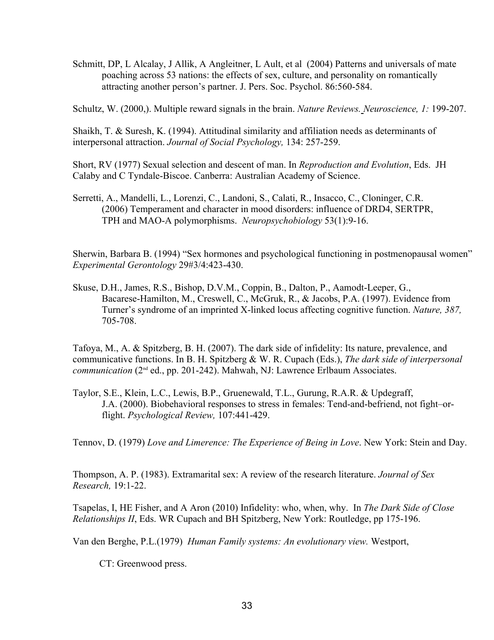Schmitt, DP, L Alcalay, J Allik, A Angleitner, L Ault, et al (2004) Patterns and universals of mate poaching across 53 nations: the effects of sex, culture, and personality on romantically attracting another person's partner. J. Pers. Soc. Psychol. 86:560-584.

Schultz, W. (2000,). Multiple reward signals in the brain. *Nature Reviews. Neuroscience, 1:* 199-207.

Shaikh, T. & Suresh, K. (1994). Attitudinal similarity and affiliation needs as determinants of interpersonal attraction. *Journal of Social Psychology*, 134: 257-259.

Short, RV (1977) Sexual selection and descent of man. In *Reproduction and Evolution*, Eds. JH Calaby and C Tyndale-Biscoe. Canberra: Australian Academy of Science.

Serretti, A., Mandelli, L., Lorenzi, C., Landoni, S., Calati, R., Insacco, C., Cloninger, C.R. (2006) Temperament and character in mood disorders: influence of DRD4, SERTPR, TPH and MAO-A polymorphisms. *Neuropsychobiology* 53(1):9-16.

Sherwin, Barbara B. (1994) "Sex hormones and psychological functioning in postmenopausal women" *Experimental Gerontology* 29#3/4:423-430.

Skuse, D.H., James, R.S., Bishop, D.V.M., Coppin, B., Dalton, P., Aamodt-Leeper, G., Bacarese-Hamilton, M., Creswell, C., McGruk, R., & Jacobs, P.A. (1997). Evidence from Turner's syndrome of an imprinted X-linked locus affecting cognitive function. *Nature*, 387, 705-708.

Tafoya, M., A. & Spitzberg, B. H. (2007). The dark side of infidelity: Its nature, prevalence, and communicative functions. In B. H. Spitzberg & W. R. Cupach (Eds.), *The dark side of interpersonal communication* (2<sup>nd</sup> ed., pp. 201-242). Mahwah, NJ: Lawrence Erlbaum Associates.

Taylor, S.E., Klein, L.C., Lewis, B.P., Gruenewald, T.L., Gurung, R.A.R. & Updegraff, J.A. (2000). Biobehavioral responses to stress in females: Tend-and-befriend, not fight–orflight. *Psychological Review*, 107:441-429.

Tennov, D. (1979) *Love and Limerence: The Experience of Being in Love*. New York: Stein and Day.

Thompson, A. P. (1983). Extramarital sex: A review of the research literature. *Journal of Sex Research,* 19:1-22.

Tsapelas, I, HE Fisher, and A Aron (2010) Infidelity: who, when, why. In *The Dark Side of Close Relationships II*, Eds. WR Cupach and BH Spitzberg, New York: Routledge, pp 175-196.

Van den Berghe, P.L.(1979) *Human Family systems: An evolutionary view.* Westport,

CT: Greenwood press.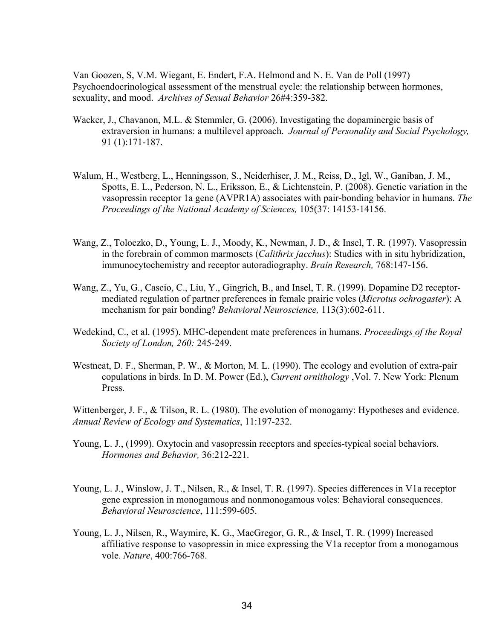Van Goozen, S, V.M. Wiegant, E. Endert, F.A. Helmond and N. E. Van de Poll (1997) Psychoendocrinological assessment of the menstrual cycle: the relationship between hormones, sexuality, and mood. *Archives of Sexual Behavior* 26#4:359-382.

- Wacker, J., Chavanon, M.L. & Stemmler, G. (2006). Investigating the dopaminergic basis of extraversion in humans: a multilevel approach. *Journal of Personality and Social Psychology,*   $91(1):171-187.$
- Walum, H., Westberg, L., Henningsson, S., Neiderhiser, J. M., Reiss, D., Igl, W., Ganiban, J. M., Spotts, E. L., Pederson, N. L., Eriksson, E., & Lichtenstein, P. (2008). Genetic variation in the vasopressin receptor 1a gene (AVPR1A) associates with pair-bonding behavior in humans. *The* Proceedings of the National Academy of Sciences, 105(37: 14153-14156.
- Wang, Z., Toloczko, D., Young, L. J., Moody, K., Newman, J. D., & Insel, T. R. (1997). Vasopressin in the forebrain of common marmosets (*Calithrix jacchus*): Studies with in situ hybridization, immunocytochemistry and receptor autoradiography. *Brain Research*, 768:147-156.
- Wang, Z., Yu, G., Cascio, C., Liu, Y., Gingrich, B., and Insel, T. R. (1999). Dopamine D2 receptormediated regulation of partner preferences in female prairie voles (*Microtus ochrogaster*): A mechanism for pair bonding? *Behavioral Neuroscience*, 113(3):602-611.
- Wedekind, C., et al. (1995). MHC-dependent mate preferences in humans. *Proceedings of the Royal Society of London, 260: 245-249.*
- Westneat, D. F., Sherman, P. W., & Morton, M. L. (1990). The ecology and evolution of extra-pair copulations in birds. In D. M. Power (Ed.), *Current ornithology* ,Vol. 7. New York: Plenum Press.

Wittenberger, J. F., & Tilson, R. L. (1980). The evolution of monogamy: Hypotheses and evidence. Annual Review of Ecology and Systematics, 11:197-232.

- Young, L. J., (1999). Oxytocin and vasopressin receptors and species-typical social behaviors. *Hormones and Behavior, 36:212-221.*
- Young, L. J., Winslow, J. T., Nilsen, R., & Insel, T. R. (1997). Species differences in V1a receptor gene expression in monogamous and nonmonogamous voles: Behavioral consequences. *Behavioral Neuroscience*, 111:599-605.
- Young, L. J., Nilsen, R., Waymire, K. G., MacGregor, G. R., & Insel, T. R. (1999) Increased affiliative response to vasopressin in mice expressing the V1a receptor from a monogamous vole. *Nature*, 400:766-768.